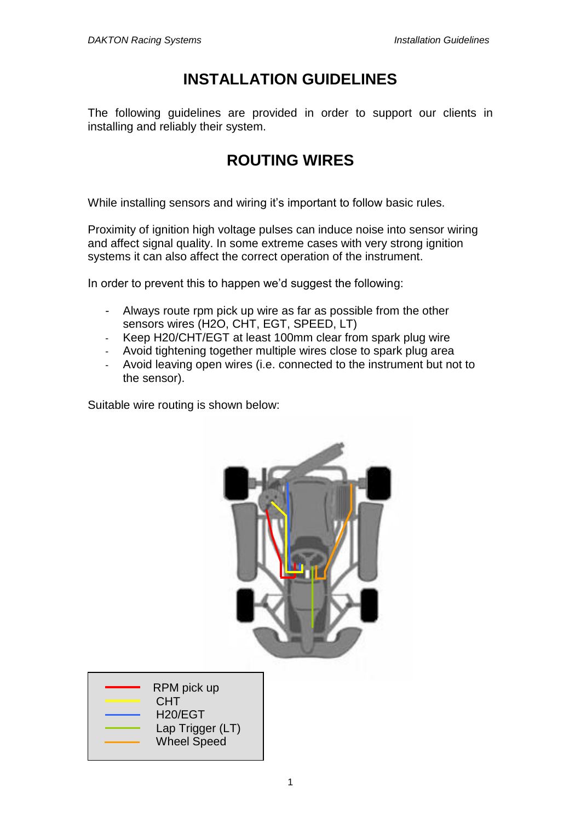### **INSTALLATION GUIDELINES**

The following guidelines are provided in order to support our clients in installing and reliably their system.

## **ROUTING WIRES**

While installing sensors and wiring it's important to follow basic rules.

Proximity of ignition high voltage pulses can induce noise into sensor wiring and affect signal quality. In some extreme cases with very strong ignition systems it can also affect the correct operation of the instrument.

In order to prevent this to happen we'd suggest the following:

- Always route rpm pick up wire as far as possible from the other sensors wires (H2O, CHT, EGT, SPEED, LT)
- Keep H20/CHT/EGT at least 100mm clear from spark plug wire
- Avoid tightening together multiple wires close to spark plug area
- Avoid leaving open wires (i.e. connected to the instrument but not to the sensor).

Suitable wire routing is shown below:

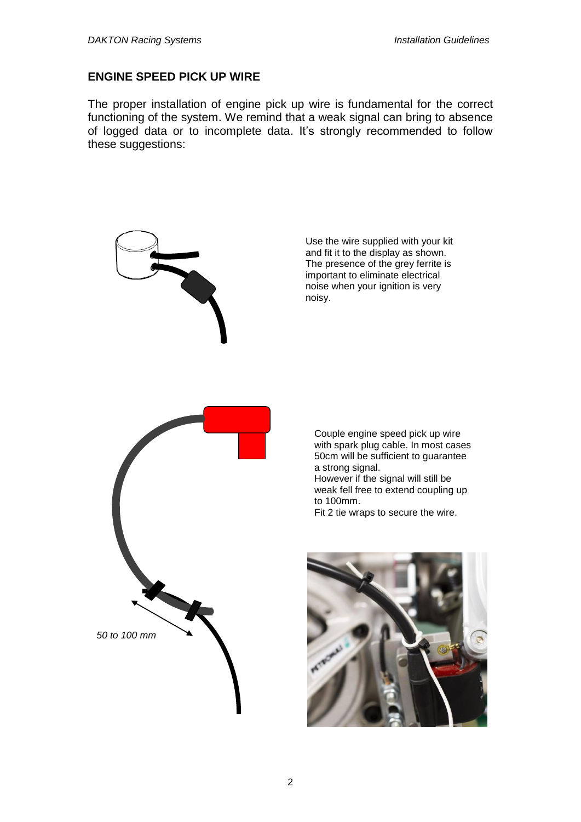#### **ENGINE SPEED PICK UP WIRE**

The proper installation of engine pick up wire is fundamental for the correct functioning of the system. We remind that a weak signal can bring to absence of logged data or to incomplete data. It's strongly recommended to follow these suggestions:



Use the wire supplied with your kit and fit it to the display as shown. The presence of the grey ferrite is important to eliminate electrical noise when your ignition is very noisy.

Couple engine speed pick up wire with spark plug cable. In most cases 50cm will be sufficient to guarantee a strong signal.

However if the signal will still be weak fell free to extend coupling up to 100mm.

Fit 2 tie wraps to secure the wire.

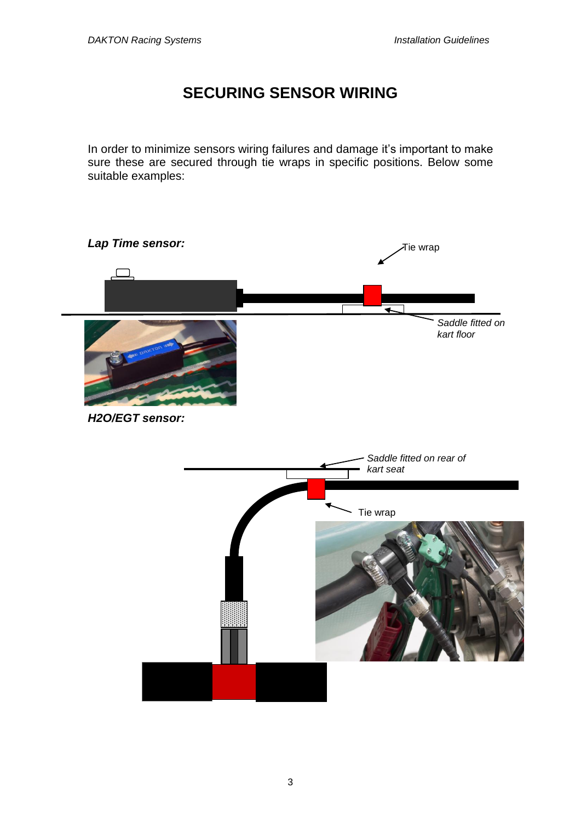## **SECURING SENSOR WIRING**

In order to minimize sensors wiring failures and damage it's important to make sure these are secured through tie wraps in specific positions. Below some suitable examples:

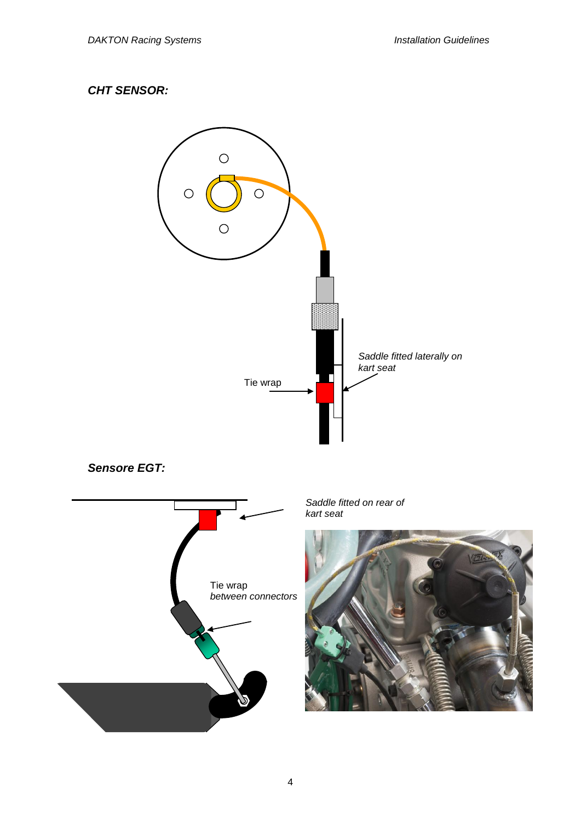### *CHT SENSOR:*

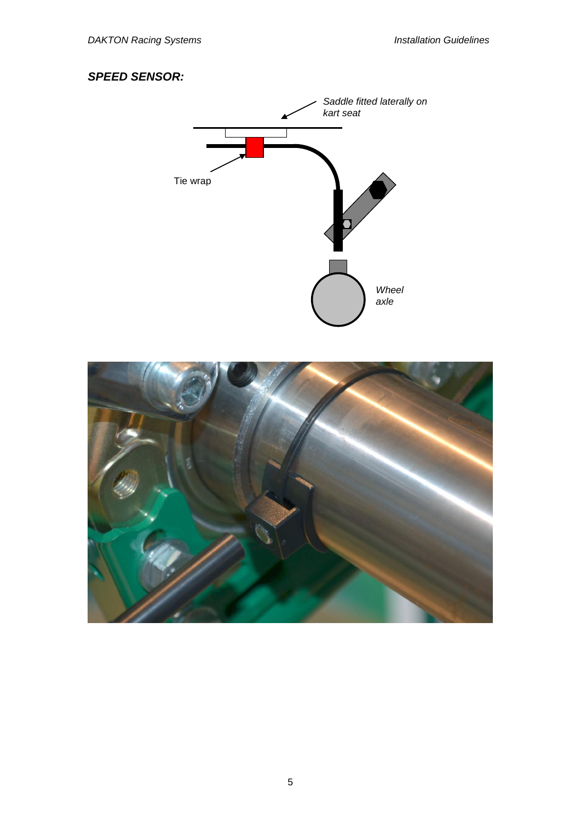### *SPEED SENSOR:*



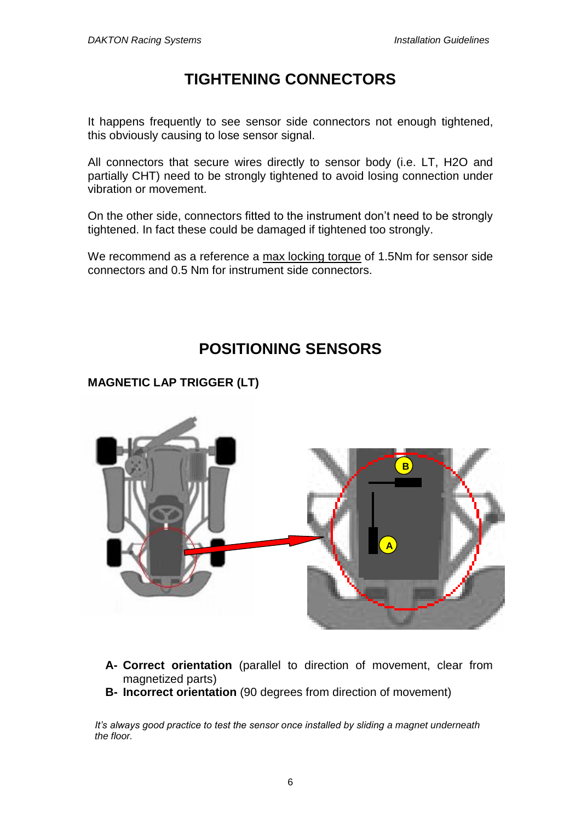# **TIGHTENING CONNECTORS**

It happens frequently to see sensor side connectors not enough tightened, this obviously causing to lose sensor signal.

All connectors that secure wires directly to sensor body (i.e. LT, H2O and partially CHT) need to be strongly tightened to avoid losing connection under vibration or movement.

On the other side, connectors fitted to the instrument don't need to be strongly tightened. In fact these could be damaged if tightened too strongly.

We recommend as a reference a max locking torque of 1.5Nm for sensor side connectors and 0.5 Nm for instrument side connectors.

# **POSITIONING SENSORS**

**MAGNETIC LAP TRIGGER (LT)**



- **A- Correct orientation** (parallel to direction of movement, clear from magnetized parts)
- **B- Incorrect orientation** (90 degrees from direction of movement)

*It's always good practice to test the sensor once installed by sliding a magnet underneath the floor.*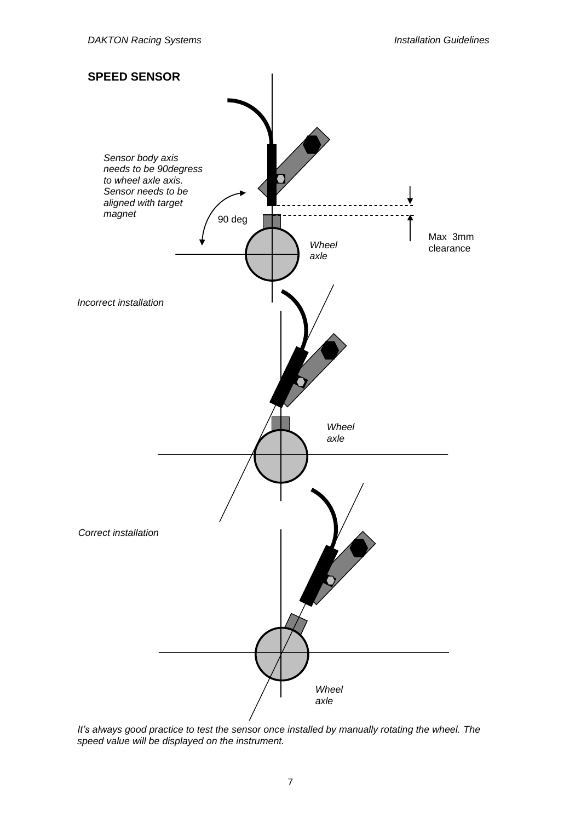

*It's always good practice to test the sensor once installed by manually rotating the wheel. The speed value will be displayed on the instrument.*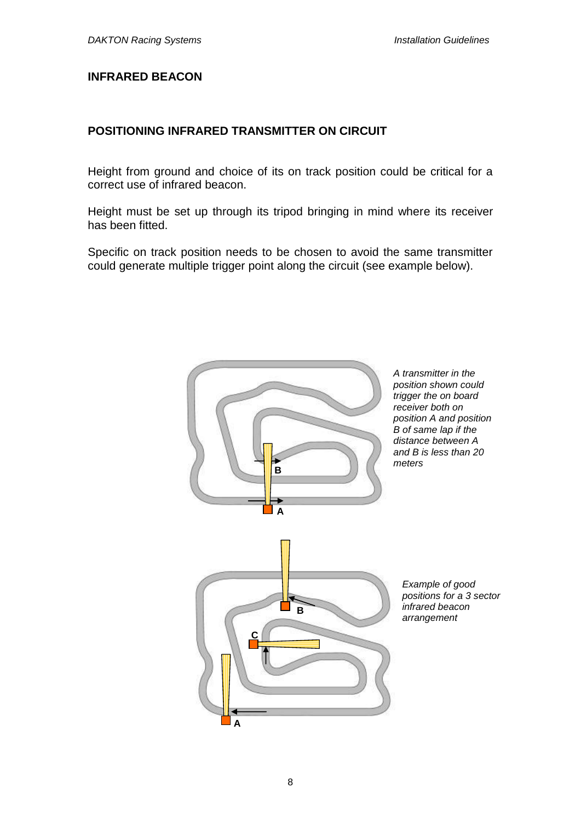#### **INFRARED BEACON**

#### **POSITIONING INFRARED TRANSMITTER ON CIRCUIT**

Height from ground and choice of its on track position could be critical for a correct use of infrared beacon.

Height must be set up through its tripod bringing in mind where its receiver has been fitted.

Specific on track position needs to be chosen to avoid the same transmitter could generate multiple trigger point along the circuit (see example below).